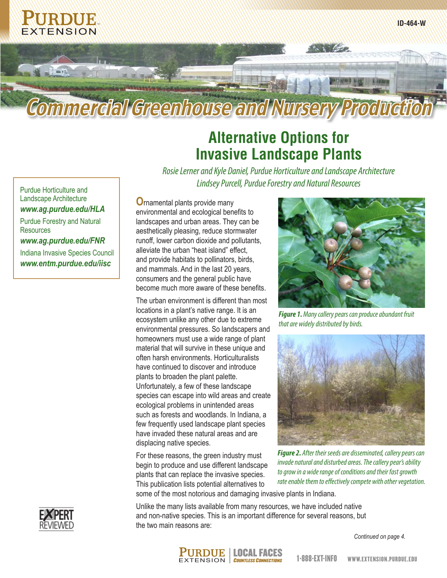

# **Alternative Options for Invasive Landscape Plants**

*Rosie Lerner and Kyle Daniel, Purdue Horticulture and Landscape Architecture* Purdue Horticulture and **Purcell, Purdue Forestry and Natural Resources** 

Landscape Architecture *www.ag.purdue.edu/HLA*

Purdue Forestry and Natural **Resources** 

*www.ag.purdue.edu/FNR*

Indiana Invasive Species Council *www.entm.purdue.edu/iisc*

**O**rnamental plants provide many environmental and ecological benefits to landscapes and urban areas. They can be aesthetically pleasing, reduce stormwater runoff, lower carbon dioxide and pollutants, alleviate the urban "heat island" effect, and provide habitats to pollinators, birds, and mammals. And in the last 20 years, consumers and the general public have become much more aware of these benefits.

The urban environment is different than most locations in a plant's native range. It is an ecosystem unlike any other due to extreme environmental pressures. So landscapers and homeowners must use a wide range of plant material that will survive in these unique and often harsh environments. Horticulturalists have continued to discover and introduce plants to broaden the plant palette. Unfortunately, a few of these landscape species can escape into wild areas and create ecological problems in unintended areas such as forests and woodlands. In Indiana, a few frequently used landscape plant species have invaded these natural areas and are displacing native species.

For these reasons, the green industry must begin to produce and use different landscape plants that can replace the invasive species. This publication lists potential alternatives to

*Figure 1. Many callery pears can produce abundant fruit that are widely distributed by birds.*



*Figure 2. After their seeds are disseminated, callery pears can invade natural and disturbed areas. The callery pear's ability to grow in a wide range of conditions and their fast growth rate enable them to effectively compete with other vegetation.*

some of the most notorious and damaging invasive plants in Indiana.



*Continued on page 4.*



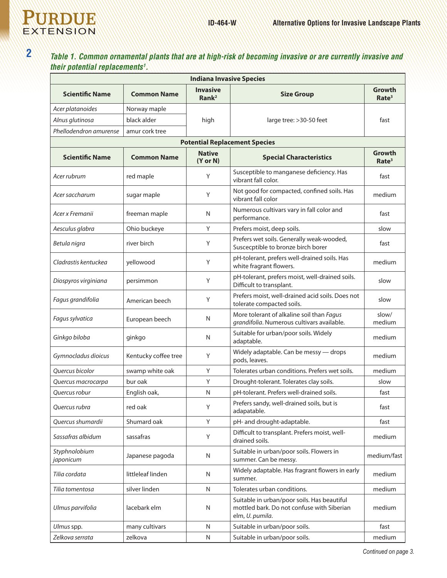

## **2** *Table 1. Common ornamental plants that are at high-risk of becoming invasive or are currently invasive and their potential replacements1 .*

| <b>Indiana Invasive Species</b>      |                      |                                      |                                                                                                              |                             |  |  |  |
|--------------------------------------|----------------------|--------------------------------------|--------------------------------------------------------------------------------------------------------------|-----------------------------|--|--|--|
| <b>Scientific Name</b>               | <b>Common Name</b>   | <b>Invasive</b><br>Rank <sup>2</sup> | <b>Size Group</b>                                                                                            | Growth<br>Rate <sup>3</sup> |  |  |  |
| Acer platanoides                     | Norway maple         | high                                 | large tree: >30-50 feet                                                                                      |                             |  |  |  |
| Alnus glutinosa                      | black alder          |                                      |                                                                                                              | fast                        |  |  |  |
| Phellodendron amurense               | amur cork tree       |                                      |                                                                                                              |                             |  |  |  |
| <b>Potential Replacement Species</b> |                      |                                      |                                                                                                              |                             |  |  |  |
| <b>Scientific Name</b>               | <b>Common Name</b>   | <b>Native</b><br>$(Y$ or $N)$        | <b>Special Characteristics</b>                                                                               | Growth<br>Rate <sup>3</sup> |  |  |  |
| Acer rubrum                          | red maple            | Y                                    | Susceptible to manganese deficiency. Has<br>vibrant fall color.                                              | fast                        |  |  |  |
| Acer saccharum                       | sugar maple          | Y                                    | Not good for compacted, confined soils. Has<br>vibrant fall color                                            | medium                      |  |  |  |
| Acer x Fremanii                      | freeman maple        | N                                    | Numerous cultivars vary in fall color and<br>performance.                                                    | fast                        |  |  |  |
| Aesculus glabra                      | Ohio buckeye         | Y                                    | Prefers moist, deep soils.                                                                                   | slow                        |  |  |  |
| Betula nigra                         | river birch          | Y                                    | Prefers wet soils. Generally weak-wooded,<br>Suscecptible to bronze birch borer                              | fast                        |  |  |  |
| Cladrastis kentuckea                 | yellowood            | Y                                    | pH-tolerant, prefers well-drained soils. Has<br>white fragrant flowers.                                      | medium                      |  |  |  |
| Diospyros virginiana                 | persimmon            | Y                                    | pH-tolerant, prefers moist, well-drained soils.<br>Difficult to transplant.                                  | slow                        |  |  |  |
| Fagus grandifolia                    | American beech       | Y                                    | Prefers moist, well-drained acid soils. Does not<br>tolerate compacted soils.                                | slow                        |  |  |  |
| Fagus sylvatica                      | European beech       | N                                    | More tolerant of alkaline soil than Fagus<br>grandifolia. Numerous cultivars available.                      | slow/<br>medium             |  |  |  |
| Ginkgo biloba                        | ginkgo               | N                                    | Suitable for urban/poor soils. Widely<br>adaptable.                                                          | medium                      |  |  |  |
| Gymnocladus dioicus                  | Kentucky coffee tree | Y                                    | Widely adaptable. Can be messy - drops<br>pods, leaves.                                                      | medium                      |  |  |  |
| Quercus bicolor                      | swamp white oak      | Y                                    | Tolerates urban conditions. Prefers wet soils.                                                               | medium                      |  |  |  |
| Quercus macrocarpa                   | bur oak              | Y                                    | Drought-tolerant. Tolerates clay soils.                                                                      | slow                        |  |  |  |
| Ouercus robur                        | English oak,         | N                                    | pH-tolerant. Prefers well-drained soils.                                                                     | fast                        |  |  |  |
| Quercus rubra                        | red oak              | Υ                                    | Prefers sandy, well-drained soils, but is<br>adapatable.                                                     | fast                        |  |  |  |
| Quercus shumardii                    | Shumard oak          | Y                                    | pH- and drought-adaptable.                                                                                   | fast                        |  |  |  |
| Sassafras albidum                    | sassafras            | Y                                    | Difficult to transplant. Prefers moist, well-<br>drained soils.                                              | medium                      |  |  |  |
| Styphnolobium<br>japonicum           | Japanese pagoda      | N                                    | Suitable in urban/poor soils. Flowers in<br>summer. Can be messy.                                            | medium/fast                 |  |  |  |
| Tilia cordata                        | littleleaf linden    | N                                    | Widely adaptable. Has fragrant flowers in early<br>summer.                                                   | medium                      |  |  |  |
| Tilia tomentosa                      | silver linden        | N                                    | Tolerates urban conditions.                                                                                  | medium                      |  |  |  |
| Ulmus parvifolia                     | lacebark elm         | N                                    | Suitable in urban/poor soils. Has beautiful<br>mottled bark. Do not confuse with Siberian<br>elm, U. pumila. | medium                      |  |  |  |
| Ulmus spp.                           | many cultivars       | N                                    | Suitable in urban/poor soils.                                                                                | fast                        |  |  |  |
| Zelkova serrata                      | zelkova              | N                                    | Suitable in urban/poor soils.                                                                                | medium                      |  |  |  |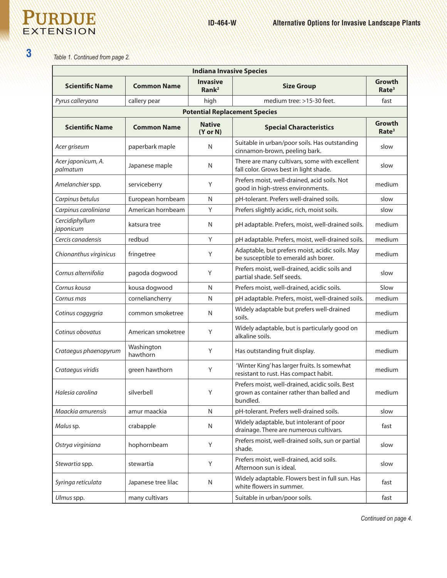## **PURDUE** EXTENSION

**3**

### *Table 1. Continued from page 2.*

| <b>Indiana Invasive Species</b>      |                        |                                      |                                                                                                          |                             |  |  |  |
|--------------------------------------|------------------------|--------------------------------------|----------------------------------------------------------------------------------------------------------|-----------------------------|--|--|--|
| <b>Scientific Name</b>               | <b>Common Name</b>     | <b>Invasive</b><br>Rank <sup>2</sup> | <b>Size Group</b>                                                                                        | Growth<br>Rate <sup>3</sup> |  |  |  |
| Pyrus calleryana                     | callery pear           | high                                 | medium tree: $>15-30$ feet.                                                                              | fast                        |  |  |  |
| <b>Potential Replacement Species</b> |                        |                                      |                                                                                                          |                             |  |  |  |
| <b>Scientific Name</b>               | <b>Common Name</b>     | <b>Native</b><br>(Y or N)            | <b>Special Characteristics</b>                                                                           | Growth<br>Rate <sup>3</sup> |  |  |  |
| Acer griseum                         | paperbark maple        | N                                    | Suitable in urban/poor soils. Has outstanding<br>cinnamon-brown, peeling bark.                           | slow                        |  |  |  |
| Acer japonicum, A.<br>palmatum       | Japanese maple         | N                                    | There are many cultivars, some with excellent<br>fall color. Grows best in light shade.                  | slow                        |  |  |  |
| Amelanchier spp.                     | serviceberry           | Υ                                    | Prefers moist, well-drained, acid soils. Not<br>good in high-stress environments.                        | medium                      |  |  |  |
| Carpinus betulus                     | European hornbeam      | N                                    | pH-tolerant. Prefers well-drained soils.                                                                 | slow                        |  |  |  |
| Carpinus caroliniana                 | American hornbeam      | Y                                    | Prefers slightly acidic, rich, moist soils.                                                              | slow                        |  |  |  |
| Cercidiphyllum<br>japonicum          | katsura tree           | $\mathsf{N}$                         | pH adaptable. Prefers, moist, well-drained soils.                                                        | medium                      |  |  |  |
| Cercis canadensis                    | redbud                 | Y                                    | pH adaptable. Prefers, moist, well-drained soils.                                                        | medium                      |  |  |  |
| Chionanthus virginicus               | fringetree             | Υ                                    | Adaptable, but prefers moist, acidic soils. May<br>be susceptible to emerald ash borer.                  | medium                      |  |  |  |
| Cornus alternifolia                  | pagoda dogwood         | Y                                    | Prefers moist, well-drained, acidic soils and<br>partial shade. Self seeds.                              | slow                        |  |  |  |
| Cornus kousa                         | kousa dogwood          | N                                    | Prefers moist, well-drained, acidic soils.                                                               | Slow                        |  |  |  |
| Cornus mas                           | corneliancherry        | N                                    | pH adaptable. Prefers, moist, well-drained soils.                                                        | medium                      |  |  |  |
| Cotinus coggygria                    | common smoketree       | N                                    | Widely adaptable but prefers well-drained<br>soils.                                                      | medium                      |  |  |  |
| Cotinus obovatus                     | American smoketree     | Υ                                    | Widely adaptable, but is particularly good on<br>alkaline soils.                                         | medium                      |  |  |  |
| Crataegus phaenopyrum                | Washington<br>hawthorn | Υ                                    | Has outstanding fruit display.                                                                           | medium                      |  |  |  |
| Crataegus viridis                    | green hawthorn         | Y                                    | 'Winter King' has larger fruits. Is somewhat<br>resistant to rust. Has compact habit.                    | medium                      |  |  |  |
| Halesia carolina                     | silverbell             | Υ                                    | Prefers moist, well-drained, acidic soils. Best<br>grown as container rather than balled and<br>bundled. | medium                      |  |  |  |
| Maackia amurensis                    | amur maackia           | N                                    | pH-tolerant. Prefers well-drained soils.                                                                 | slow                        |  |  |  |
| Malus sp.                            | crabapple              | N                                    | Widely adaptable, but intolerant of poor<br>drainage. There are numerous cultivars.                      | fast                        |  |  |  |
| Ostrya virginiana                    | hophornbeam            | Y                                    | Prefers moist, well-drained soils, sun or partial<br>shade.                                              | slow                        |  |  |  |
| Stewartia spp.                       | stewartia              | Y                                    | Prefers moist, well-drained, acid soils.<br>Afternoon sun is ideal.                                      | slow                        |  |  |  |
| Syringa reticulata                   | Japanese tree lilac    | N                                    | Widely adaptable. Flowers best in full sun. Has<br>white flowers in summer.                              | fast                        |  |  |  |
| Ulmus spp.                           | many cultivars         |                                      | Suitable in urban/poor soils.                                                                            | fast                        |  |  |  |

*Continued on page 4.*